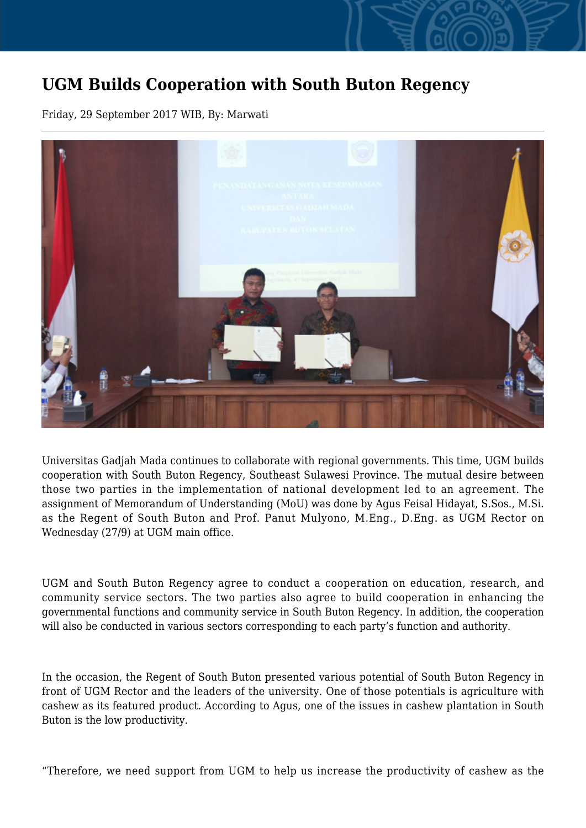## **UGM Builds Cooperation with South Buton Regency**

Friday, 29 September 2017 WIB, By: Marwati



Universitas Gadjah Mada continues to collaborate with regional governments. This time, UGM builds cooperation with South Buton Regency, Southeast Sulawesi Province. The mutual desire between those two parties in the implementation of national development led to an agreement. The assignment of Memorandum of Understanding (MoU) was done by Agus Feisal Hidayat, S.Sos., M.Si. as the Regent of South Buton and Prof. Panut Mulyono, M.Eng., D.Eng. as UGM Rector on Wednesday (27/9) at UGM main office.

UGM and South Buton Regency agree to conduct a cooperation on education, research, and community service sectors. The two parties also agree to build cooperation in enhancing the governmental functions and community service in South Buton Regency. In addition, the cooperation will also be conducted in various sectors corresponding to each party's function and authority.

In the occasion, the Regent of South Buton presented various potential of South Buton Regency in front of UGM Rector and the leaders of the university. One of those potentials is agriculture with cashew as its featured product. According to Agus, one of the issues in cashew plantation in South Buton is the low productivity.

"Therefore, we need support from UGM to help us increase the productivity of cashew as the